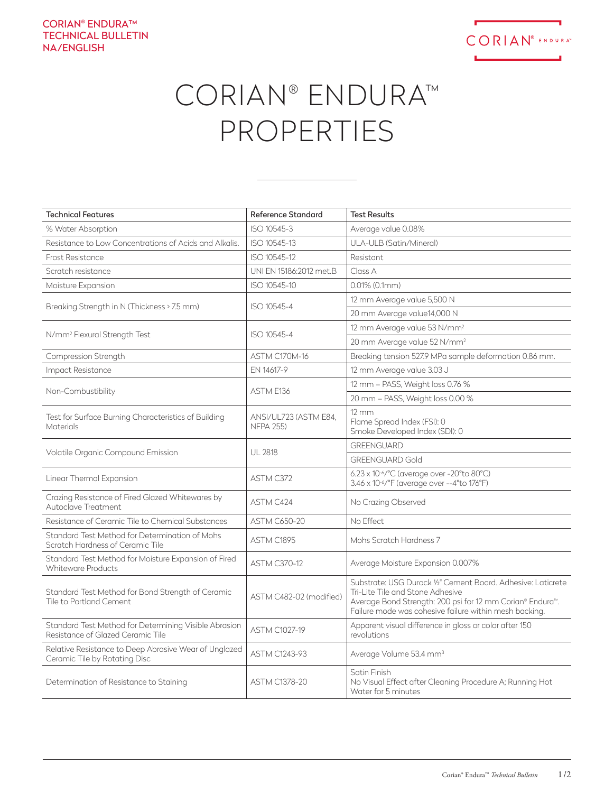

## CORIAN® ENDURA™ PROPERTIES

| <b>Technical Features</b>                                                                  | <b>Reference Standard</b>                 | <b>Test Results</b>                                                                                                                                                                                                     |
|--------------------------------------------------------------------------------------------|-------------------------------------------|-------------------------------------------------------------------------------------------------------------------------------------------------------------------------------------------------------------------------|
| % Water Absorption                                                                         | ISO 10545-3                               | Average value 0.08%                                                                                                                                                                                                     |
| Resistance to Low Concentrations of Acids and Alkalis.                                     | ISO 10545-13                              | ULA-ULB (Satin/Mineral)                                                                                                                                                                                                 |
| Frost Resistance                                                                           | ISO 10545-12                              | Resistant                                                                                                                                                                                                               |
| Scratch resistance                                                                         | UNI EN 15186:2012 met.B                   | Class A                                                                                                                                                                                                                 |
| Moisture Expansion                                                                         | ISO 10545-10                              | $0.01\%$ (0.1mm)                                                                                                                                                                                                        |
| Breaking Strength in N (Thickness > 7.5 mm)                                                | ISO 10545-4                               | 12 mm Average value 5,500 N                                                                                                                                                                                             |
|                                                                                            |                                           | 20 mm Average value14,000 N                                                                                                                                                                                             |
| N/mm <sup>2</sup> Flexural Strength Test                                                   | ISO 10545-4                               | 12 mm Average value 53 N/mm <sup>2</sup>                                                                                                                                                                                |
|                                                                                            |                                           | 20 mm Average value 52 N/mm <sup>2</sup>                                                                                                                                                                                |
| Compression Strength                                                                       | ASTM C170M-16                             | Breaking tension 527.9 MPa sample deformation 0.86 mm.                                                                                                                                                                  |
| Impact Resistance                                                                          | EN 14617-9                                | 12 mm Average value 3.03 J                                                                                                                                                                                              |
| Non-Combustibility                                                                         | ASTM E136                                 | 12 mm – PASS, Weight loss 0.76 %                                                                                                                                                                                        |
|                                                                                            |                                           | 20 mm - PASS, Weight loss 0.00 %                                                                                                                                                                                        |
| Test for Surface Burning Characteristics of Building<br>Materials                          | ANSI/UL723 (ASTM E84.<br><b>NFPA 255)</b> | $12 \, \text{mm}$<br>Flame Spread Index (FSI): 0<br>Smoke Developed Index (SDI): 0                                                                                                                                      |
| Volatile Organic Compound Emission                                                         | <b>UL 2818</b>                            | <b>GREENGUARD</b>                                                                                                                                                                                                       |
|                                                                                            |                                           | <b>GREENGUARD Gold</b>                                                                                                                                                                                                  |
| Linear Thermal Expansion                                                                   | ASTM C372                                 | 6.23 x 10-6/°C (average over -20°to 80°C)<br>3.46 x 10 <sup>-6</sup> /°F (average over --4°to 176°F)                                                                                                                    |
| Crazing Resistance of Fired Glazed Whitewares by<br>Autoclave Treatment                    | ASTM C424                                 | No Crazing Observed                                                                                                                                                                                                     |
| Resistance of Ceramic Tile to Chemical Substances                                          | <b>ASTM C650-20</b>                       | No Effect                                                                                                                                                                                                               |
| Standard Test Method for Determination of Mohs<br>Scratch Hardness of Ceramic Tile         | ASTM C1895                                | Mohs Scratch Hardness 7                                                                                                                                                                                                 |
| Standard Test Method for Moisture Expansion of Fired<br>Whiteware Products                 | <b>ASTM C370-12</b>                       | Average Moisture Expansion 0.007%                                                                                                                                                                                       |
| Standard Test Method for Bond Strength of Ceramic<br>Tile to Portland Cement               | ASTM C482-02 (modified)                   | Substrate: USG Durock 1/2" Cement Board. Adhesive: Laticrete<br>Tri-Lite Tile and Stone Adhesive<br>Average Bond Strength: 200 psi for 12 mm Corian® Endura™.<br>Failure mode was cohesive failure within mesh backing. |
| Standard Test Method for Determining Visible Abrasion<br>Resistance of Glazed Ceramic Tile | <b>ASTM C1027-19</b>                      | Apparent visual difference in gloss or color after 150<br>revolutions                                                                                                                                                   |
| Relative Resistance to Deep Abrasive Wear of Unglazed<br>Ceramic Tile by Rotating Disc     | <b>ASTM C1243-93</b>                      | Average Volume 53.4 mm <sup>3</sup>                                                                                                                                                                                     |
| Determination of Resistance to Staining                                                    | <b>ASTM C1378-20</b>                      | Satin Finish<br>No Visual Effect after Cleaning Procedure A; Running Hot<br>Water for 5 minutes                                                                                                                         |